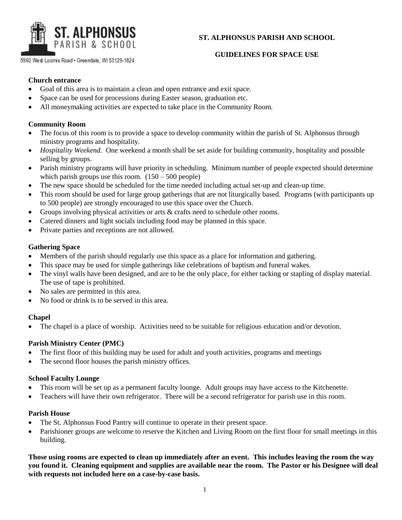

5960 West Loomis Road . Greendale, WI 53129-1824

# **ST. ALPHONSUS PARISH AND SCHOOL**

## **GUIDELINES FOR SPACE USE**

### **Church entrance**

- Goal of this area is to maintain a clean and open entrance and exit space.
- Space can be used for processions during Easter season, graduation etc.
- All moneymaking activities are expected to take place in the Community Room.

### **Community Room**

- The focus of this room is to provide a space to develop community within the parish of St. Alphonsus through ministry programs and hospitality.
- *Hospitality Weekend.* One weekend a month shall be set aside for building community, hospitality and possible selling by groups.
- Parish ministry programs will have priority in scheduling. Minimum number of people expected should determine which parish groups use this room.  $(150 - 500$  people)
- The new space should be scheduled for the time needed including actual set-up and clean-up time.
- This room should be used for large group gatherings that are not liturgically based. Programs (with participants up to 500 people) are strongly encouraged to use this space over the Church.
- Groups involving physical activities or arts & crafts need to schedule other rooms.
- Catered dinners and light socials including food may be planned in this space.
- Private parties and receptions are not allowed.

## **Gathering Space**

- Members of the parish should regularly use this space as a place for information and gathering.
- This space may be used for simple gatherings like celebrations of baptism and funeral wakes.
- The vinyl walls have been designed, and are to be the only place, for either tacking or stapling of display material. The use of tape is prohibited.
- No sales are permitted in this area.
- No food or drink is to be served in this area.

#### **Chapel**

The chapel is a place of worship. Activities need to be suitable for religious education and/or devotion.

# **Parish Ministry Center (PMC)**

- The first floor of this building may be used for adult and youth activities, programs and meetings
- The second floor houses the parish ministry offices.

#### **School Faculty Lounge**

- This room will be set up as a permanent faculty lounge. Adult groups may have access to the Kitchenette.
- Teachers will have their own refrigerator. There will be a second refrigerator for parish use in this room.

#### **Parish House**

- The St. Alphonsus Food Pantry will continue to operate in their present space.
- Parishioner groups are welcome to reserve the Kitchen and Living Room on the first floor for small meetings in this building.

**Those using rooms are expected to clean up immediately after an event. This includes leaving the room the way you found it. Cleaning equipment and supplies are available near the room. The Pastor or his Designee will deal with requests not included here on a case-by-case basis.**